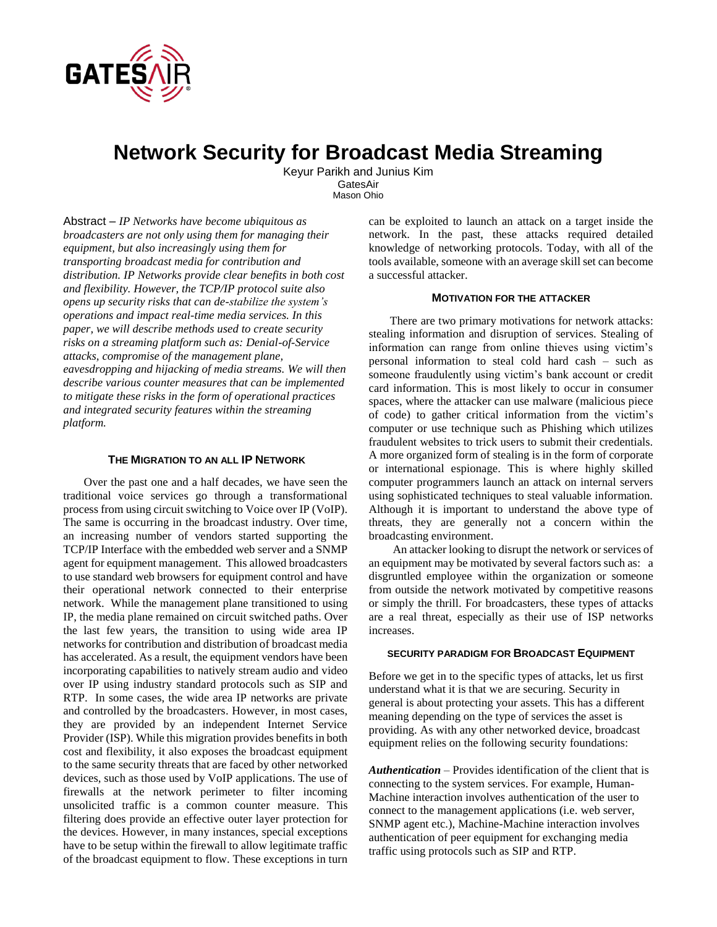

# **Network Security for Broadcast Media Streaming**

Keyur Parikh and Junius Kim GatesAir Mason Ohio

Abstract – *IP Networks have become ubiquitous as broadcasters are not only using them for managing their equipment, but also increasingly using them for transporting broadcast media for contribution and distribution. IP Networks provide clear benefits in both cost and flexibility. However, the TCP/IP protocol suite also opens up security risks that can de-stabilize the system's operations and impact real-time media services. In this paper, we will describe methods used to create security risks on a streaming platform such as: Denial-of-Service attacks, compromise of the management plane, eavesdropping and hijacking of media streams. We will then describe various counter measures that can be implemented to mitigate these risks in the form of operational practices and integrated security features within the streaming platform.*

## **THE MIGRATION TO AN ALL IP NETWORK**

 Over the past one and a half decades, we have seen the traditional voice services go through a transformational process from using circuit switching to Voice over IP (VoIP). The same is occurring in the broadcast industry. Over time, an increasing number of vendors started supporting the TCP/IP Interface with the embedded web server and a SNMP agent for equipment management. This allowed broadcasters to use standard web browsers for equipment control and have their operational network connected to their enterprise network. While the management plane transitioned to using IP, the media plane remained on circuit switched paths. Over the last few years, the transition to using wide area IP networks for contribution and distribution of broadcast media has accelerated. As a result, the equipment vendors have been incorporating capabilities to natively stream audio and video over IP using industry standard protocols such as SIP and RTP. In some cases, the wide area IP networks are private and controlled by the broadcasters. However, in most cases, they are provided by an independent Internet Service Provider (ISP). While this migration provides benefits in both cost and flexibility, it also exposes the broadcast equipment to the same security threats that are faced by other networked devices, such as those used by VoIP applications. The use of firewalls at the network perimeter to filter incoming unsolicited traffic is a common counter measure. This filtering does provide an effective outer layer protection for the devices. However, in many instances, special exceptions have to be setup within the firewall to allow legitimate traffic of the broadcast equipment to flow. These exceptions in turn

can be exploited to launch an attack on a target inside the network. In the past, these attacks required detailed knowledge of networking protocols. Today, with all of the tools available, someone with an average skill set can become a successful attacker.

#### **MOTIVATION FOR THE ATTACKER**

There are two primary motivations for network attacks: stealing information and disruption of services. Stealing of information can range from online thieves using victim's personal information to steal cold hard cash – such as someone fraudulently using victim's bank account or credit card information. This is most likely to occur in consumer spaces, where the attacker can use malware (malicious piece of code) to gather critical information from the victim's computer or use technique such as Phishing which utilizes fraudulent websites to trick users to submit their credentials. A more organized form of stealing is in the form of corporate or international espionage. This is where highly skilled computer programmers launch an attack on internal servers using sophisticated techniques to steal valuable information. Although it is important to understand the above type of threats, they are generally not a concern within the broadcasting environment.

 An attacker looking to disrupt the network or services of an equipment may be motivated by several factors such as: a disgruntled employee within the organization or someone from outside the network motivated by competitive reasons or simply the thrill. For broadcasters, these types of attacks are a real threat, especially as their use of ISP networks increases.

#### **SECURITY PARADIGM FOR BROADCAST EQUIPMENT**

Before we get in to the specific types of attacks, let us first understand what it is that we are securing. Security in general is about protecting your assets. This has a different meaning depending on the type of services the asset is providing. As with any other networked device, broadcast equipment relies on the following security foundations:

*Authentication* – Provides identification of the client that is connecting to the system services. For example, Human-Machine interaction involves authentication of the user to connect to the management applications (i.e. web server, SNMP agent etc.), Machine-Machine interaction involves authentication of peer equipment for exchanging media traffic using protocols such as SIP and RTP.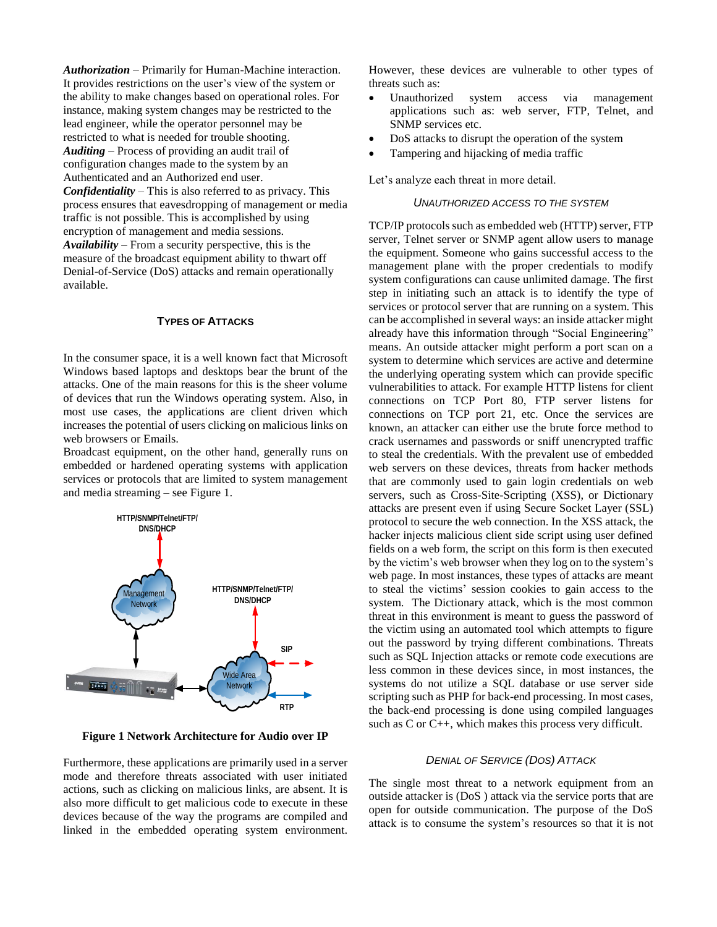*Authorization* – Primarily for Human-Machine interaction. It provides restrictions on the user's view of the system or the ability to make changes based on operational roles. For instance, making system changes may be restricted to the lead engineer, while the operator personnel may be restricted to what is needed for trouble shooting. *Auditing* – Process of providing an audit trail of configuration changes made to the system by an Authenticated and an Authorized end user. *Confidentiality* – This is also referred to as privacy. This process ensures that eavesdropping of management or media traffic is not possible. This is accomplished by using

encryption of management and media sessions. *Availability* – From a security perspective, this is the measure of the broadcast equipment ability to thwart off Denial-of-Service (DoS) attacks and remain operationally available.

# **TYPES OF ATTACKS**

In the consumer space, it is a well known fact that Microsoft Windows based laptops and desktops bear the brunt of the attacks. One of the main reasons for this is the sheer volume of devices that run the Windows operating system. Also, in most use cases, the applications are client driven which increases the potential of users clicking on malicious links on web browsers or Emails.

Broadcast equipment, on the other hand, generally runs on embedded or hardened operating systems with application services or protocols that are limited to system management and media streaming – see [Figure 1.](#page-1-0)



<span id="page-1-0"></span>**Figure 1 Network Architecture for Audio over IP**

Furthermore, these applications are primarily used in a server mode and therefore threats associated with user initiated actions, such as clicking on malicious links, are absent. It is also more difficult to get malicious code to execute in these devices because of the way the programs are compiled and linked in the embedded operating system environment.

However, these devices are vulnerable to other types of threats such as:

- Unauthorized system access via management applications such as: web server, FTP, Telnet, and SNMP services etc.
- DoS attacks to disrupt the operation of the system
- Tampering and hijacking of media traffic

Let's analyze each threat in more detail.

#### *UNAUTHORIZED ACCESS TO THE SYSTEM*

TCP/IP protocols such as embedded web (HTTP) server, FTP server, Telnet server or SNMP agent allow users to manage the equipment. Someone who gains successful access to the management plane with the proper credentials to modify system configurations can cause unlimited damage. The first step in initiating such an attack is to identify the type of services or protocol server that are running on a system. This can be accomplished in several ways: an inside attacker might already have this information through "Social Engineering" means. An outside attacker might perform a port scan on a system to determine which services are active and determine the underlying operating system which can provide specific vulnerabilities to attack. For example HTTP listens for client connections on TCP Port 80, FTP server listens for connections on TCP port 21, etc. Once the services are known, an attacker can either use the brute force method to crack usernames and passwords or sniff unencrypted traffic to steal the credentials. With the prevalent use of embedded web servers on these devices, threats from hacker methods that are commonly used to gain login credentials on web servers, such as Cross-Site-Scripting (XSS), or Dictionary attacks are present even if using Secure Socket Layer (SSL) protocol to secure the web connection. In the XSS attack, the hacker injects malicious client side script using user defined fields on a web form, the script on this form is then executed by the victim's web browser when they log on to the system's web page. In most instances, these types of attacks are meant to steal the victims' session cookies to gain access to the system. The Dictionary attack, which is the most common threat in this environment is meant to guess the password of the victim using an automated tool which attempts to figure out the password by trying different combinations. Threats such as SQL Injection attacks or remote code executions are less common in these devices since, in most instances, the systems do not utilize a SQL database or use server side scripting such as PHP for back-end processing. In most cases, the back-end processing is done using compiled languages such as C or C++, which makes this process very difficult.

#### *DENIAL OF SERVICE (DOS) ATTACK*

The single most threat to a network equipment from an outside attacker is (DoS ) attack via the service ports that are open for outside communication. The purpose of the DoS attack is to consume the system's resources so that it is not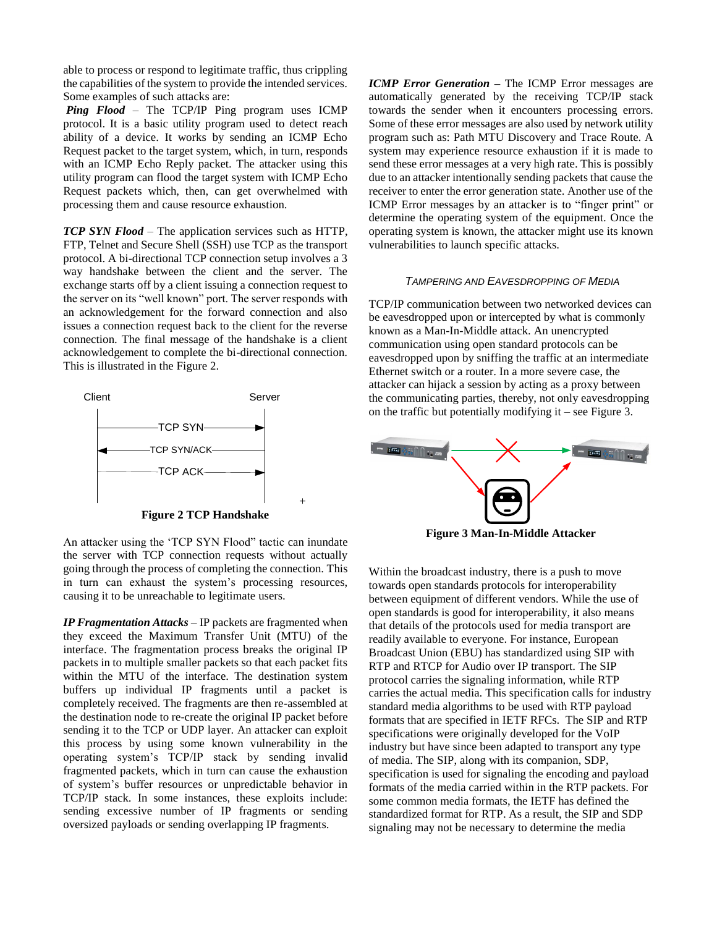able to process or respond to legitimate traffic, thus crippling the capabilities of the system to provide the intended services. Some examples of such attacks are:

*Ping Flood* – The TCP/IP Ping program uses ICMP protocol. It is a basic utility program used to detect reach ability of a device. It works by sending an ICMP Echo Request packet to the target system, which, in turn, responds with an ICMP Echo Reply packet. The attacker using this utility program can flood the target system with ICMP Echo Request packets which, then, can get overwhelmed with processing them and cause resource exhaustion.

*TCP SYN Flood* – The application services such as HTTP, FTP, Telnet and Secure Shell (SSH) use TCP as the transport protocol. A bi-directional TCP connection setup involves a 3 way handshake between the client and the server. The exchange starts off by a client issuing a connection request to the server on its "well known" port. The server responds with an acknowledgement for the forward connection and also issues a connection request back to the client for the reverse connection. The final message of the handshake is a client acknowledgement to complete the bi-directional connection. This is illustrated in the [Figure 2.](#page-2-0)



<span id="page-2-0"></span>An attacker using the 'TCP SYN Flood" tactic can inundate the server with TCP connection requests without actually going through the process of completing the connection. This in turn can exhaust the system's processing resources, causing it to be unreachable to legitimate users.

*IP Fragmentation Attacks* – IP packets are fragmented when they exceed the Maximum Transfer Unit (MTU) of the interface. The fragmentation process breaks the original IP packets in to multiple smaller packets so that each packet fits within the MTU of the interface. The destination system buffers up individual IP fragments until a packet is completely received. The fragments are then re-assembled at the destination node to re-create the original IP packet before sending it to the TCP or UDP layer. An attacker can exploit this process by using some known vulnerability in the operating system's TCP/IP stack by sending invalid fragmented packets, which in turn can cause the exhaustion of system's buffer resources or unpredictable behavior in TCP/IP stack. In some instances, these exploits include: sending excessive number of IP fragments or sending oversized payloads or sending overlapping IP fragments.

*ICMP Error Generation – The ICMP Error messages are* automatically generated by the receiving TCP/IP stack towards the sender when it encounters processing errors. Some of these error messages are also used by network utility program such as: Path MTU Discovery and Trace Route. A system may experience resource exhaustion if it is made to send these error messages at a very high rate. This is possibly due to an attacker intentionally sending packets that cause the receiver to enter the error generation state. Another use of the ICMP Error messages by an attacker is to "finger print" or determine the operating system of the equipment. Once the operating system is known, the attacker might use its known vulnerabilities to launch specific attacks.

#### *TAMPERING AND EAVESDROPPING OF MEDIA*

TCP/IP communication between two networked devices can be eavesdropped upon or intercepted by what is commonly known as a Man-In-Middle attack. An unencrypted communication using open standard protocols can be eavesdropped upon by sniffing the traffic at an intermediate Ethernet switch or a router. In a more severe case, the attacker can hijack a session by acting as a proxy between the communicating parties, thereby, not only eavesdropping on the traffic but potentially modifying it – see Figure 3.



**Figure 3 Man-In-Middle Attacker**

Within the broadcast industry, there is a push to move towards open standards protocols for interoperability between equipment of different vendors. While the use of open standards is good for interoperability, it also means that details of the protocols used for media transport are readily available to everyone. For instance, European Broadcast Union (EBU) has standardized using SIP with RTP and RTCP for Audio over IP transport. The SIP protocol carries the signaling information, while RTP carries the actual media. This specification calls for industry standard media algorithms to be used with RTP payload formats that are specified in IETF RFCs. The SIP and RTP specifications were originally developed for the VoIP industry but have since been adapted to transport any type of media. The SIP, along with its companion, SDP, specification is used for signaling the encoding and payload formats of the media carried within in the RTP packets. For some common media formats, the IETF has defined the standardized format for RTP. As a result, the SIP and SDP signaling may not be necessary to determine the media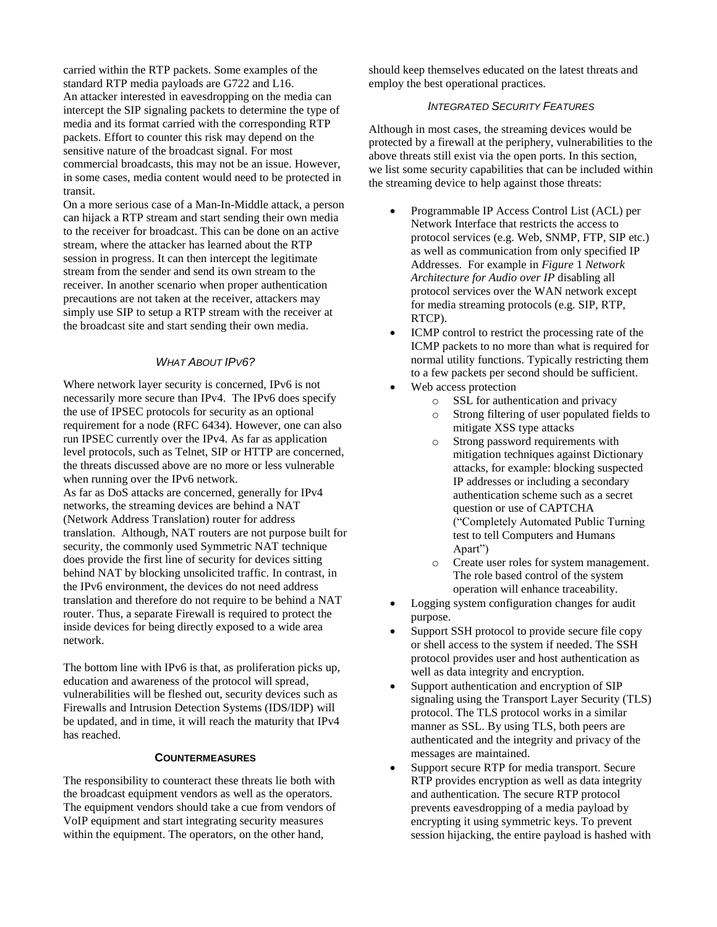carried within the RTP packets. Some examples of the standard RTP media payloads are G722 and L16. An attacker interested in eavesdropping on the media can intercept the SIP signaling packets to determine the type of media and its format carried with the corresponding RTP packets. Effort to counter this risk may depend on the sensitive nature of the broadcast signal. For most commercial broadcasts, this may not be an issue. However, in some cases, media content would need to be protected in transit.

On a more serious case of a Man-In-Middle attack, a person can hijack a RTP stream and start sending their own media to the receiver for broadcast. This can be done on an active stream, where the attacker has learned about the RTP session in progress. It can then intercept the legitimate stream from the sender and send its own stream to the receiver. In another scenario when proper authentication precautions are not taken at the receiver, attackers may simply use SIP to setup a RTP stream with the receiver at the broadcast site and start sending their own media.

## *WHAT ABOUT IPV6?*

Where network layer security is concerned, IPv6 is not necessarily more secure than IPv4. The IPv6 does specify the use of IPSEC protocols for security as an optional requirement for a node (RFC 6434). However, one can also run IPSEC currently over the IPv4. As far as application level protocols, such as Telnet, SIP or HTTP are concerned, the threats discussed above are no more or less vulnerable when running over the IPv6 network. As far as DoS attacks are concerned, generally for IPv4 networks, the streaming devices are behind a NAT (Network Address Translation) router for address translation. Although, NAT routers are not purpose built for security, the commonly used Symmetric NAT technique does provide the first line of security for devices sitting behind NAT by blocking unsolicited traffic. In contrast, in the IPv6 environment, the devices do not need address translation and therefore do not require to be behind a NAT router. Thus, a separate Firewall is required to protect the inside devices for being directly exposed to a wide area network.

The bottom line with IPv6 is that, as proliferation picks up, education and awareness of the protocol will spread, vulnerabilities will be fleshed out, security devices such as Firewalls and Intrusion Detection Systems (IDS/IDP) will be updated, and in time, it will reach the maturity that IPv4 has reached.

#### **COUNTERMEASURES**

The responsibility to counteract these threats lie both with the broadcast equipment vendors as well as the operators. The equipment vendors should take a cue from vendors of VoIP equipment and start integrating security measures within the equipment. The operators, on the other hand,

should keep themselves educated on the latest threats and employ the best operational practices.

## *INTEGRATED SECURITY FEATURES*

Although in most cases, the streaming devices would be protected by a firewall at the periphery, vulnerabilities to the above threats still exist via the open ports. In this section, we list some security capabilities that can be included within the streaming device to help against those threats:

- Programmable IP Access Control List (ACL) per Network Interface that restricts the access to protocol services (e.g. Web, SNMP, FTP, SIP etc.) as well as communication from only specified IP Addresses. For example in *Figure* 1 *[Network](#page-1-0) [Architecture for Audio over IP](#page-1-0)* disabling all protocol services over the WAN network except for media streaming protocols (e.g. SIP, RTP, RTCP).
- ICMP control to restrict the processing rate of the ICMP packets to no more than what is required for normal utility functions. Typically restricting them to a few packets per second should be sufficient.
- Web access protection
	- o SSL for authentication and privacy
	- o Strong filtering of user populated fields to mitigate XSS type attacks
	- o Strong password requirements with mitigation techniques against Dictionary attacks, for example: blocking suspected IP addresses or including a secondary authentication scheme such as a secret question or use of CAPTCHA ("Completely Automated Public Turning test to tell Computers and Humans Apart")
	- o Create user roles for system management. The role based control of the system operation will enhance traceability.
- Logging system configuration changes for audit purpose.
- Support SSH protocol to provide secure file copy or shell access to the system if needed. The SSH protocol provides user and host authentication as well as data integrity and encryption.
- Support authentication and encryption of SIP signaling using the Transport Layer Security (TLS) protocol. The TLS protocol works in a similar manner as SSL. By using TLS, both peers are authenticated and the integrity and privacy of the messages are maintained.
- Support secure RTP for media transport. Secure RTP provides encryption as well as data integrity and authentication. The secure RTP protocol prevents eavesdropping of a media payload by encrypting it using symmetric keys. To prevent session hijacking, the entire payload is hashed with